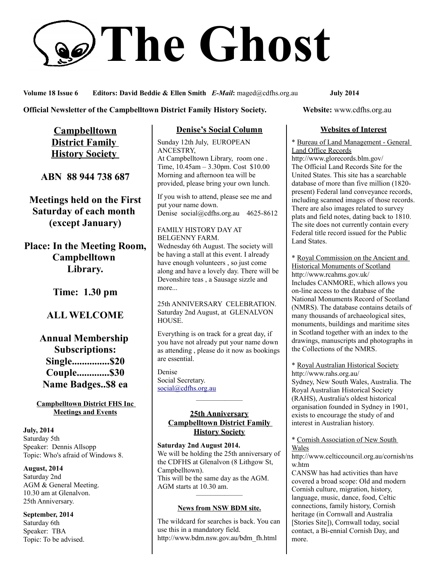# **The Ghost**

**Volume 18 Issue 6 Editors: David Beddie & Ellen Smith** *E-Mail***:** maged@cdfhs.org.au **July 2014**

#### **Official Newsletter of the Campbelltown District Family History Society. Website: www.cdfhs.org.au**

**Campbelltown District Family History Society** 

**ABN 88 944 738 687**

**Meetings held on the First Saturday of each month (except January)**

**Place: In the Meeting Room, Campbelltown Library.**

**Time: 1.30 pm**

# **ALL WELCOME**

**Annual Membership Subscriptions: Single...............\$20 Couple.............\$30 Name Badges..\$8 ea**

#### **Campbelltown District FHS Inc Meetings and Events**

**July, 2014** Saturday 5th Speaker: Dennis Allsopp Topic: Who's afraid of Windows 8.

**August, 2014** Saturday 2nd AGM & General Meeting. 10.30 am at Glenalvon. 25th Anniversary.

**September, 2014** Saturday 6th Speaker: TBA Topic: To be advised.

## **Denise's Social Column**

Sunday 12th July, EUROPEAN ANCESTRY, At Campbelltown Library, room one . Time, 10.45am – 3.30pm. Cost \$10.00 Morning and afternoon tea will be provided, please bring your own lunch.

If you wish to attend, please see me and put your name down. Denise social@cdfhs.org.au 4625-8612

FAMILY HISTORY DAY AT BELGENNY FARM. Wednesday 6th August. The society will be having a stall at this event. I already have enough volunteers , so just come along and have a lovely day. There will be Devonshire teas , a Sausage sizzle and more...

25th ANNIVERSARY CELEBRATION. Saturday 2nd August, at GLENALVON HOUSE.

Everything is on track for a great day, if you have not already put your name down as attending , please do it now as bookings are essential.

Denise Social Secretary. [social@cdfhs.org.au](mailto:social@cdfhs.org.au)

#### **25th Anniversary Campbelltown District Family History Society**

——————–

**Saturday 2nd August 2014.** We will be holding the 25th anniversary of the CDFHS at Glenalvon (8 Lithgow St, Campbelltown). This will be the same day as the AGM. AGM starts at 10.30 am.

# ——————– **News from NSW BDM site.**

The wildcard for searches is back. You can use this in a mandatory field. http://www.bdm.nsw.gov.au/bdm\_fh.html

#### **Websites of Interest**

\* Bureau of Land Management - General Land Office Records

http://www.glorecords.blm.gov/ The Official Land Records Site for the United States. This site has a searchable database of more than five million (1820 present) Federal land conveyance records, including scanned images of those records. There are also images related to survey plats and field notes, dating back to 1810. The site does not currently contain every Federal title record issued for the Public Land States.

\* Royal Commission on the Ancient and Historical Monuments of Scotland http://www.rcahms.gov.uk/ Includes CANMORE, which allows you on-line access to the database of the National Monuments Record of Scotland (NMRS). The database contains details of many thousands of archaeological sites, monuments, buildings and maritime sites in Scotland together with an index to the drawings, manuscripts and photographs in the Collections of the NMRS.

\* Royal Australian Historical Society http://www.rahs.org.au/ Sydney, New South Wales, Australia. The Royal Australian Historical Society (RAHS), Australia's oldest historical organisation founded in Sydney in 1901, exists to encourage the study of and interest in Australian history.

\* Cornish Association of New South Wales

http://www.celticcouncil.org.au/cornish/ns w.htm

CANSW has had activities than have covered a broad scope: Old and modern Cornish culture, migration, history, language, music, dance, food, Celtic connections, family history, Cornish heritage (in Cornwall and Australia [Stories Site]), Cornwall today, social contact, a Bi-ennial Cornish Day, and more.